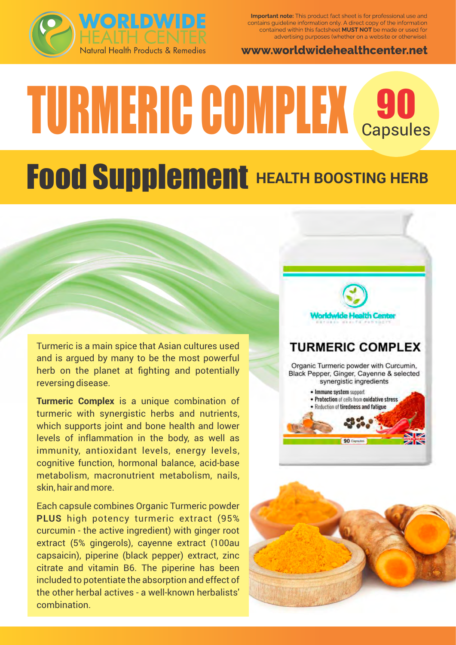

Important note: This product fact sheet is for professional use and contains guideline information only. A direct copy of the information contained within this factsheet MUST NOT be made or used for advertising purposes (whether on a website or otherwise).

www.worldwidehealthcenter.net

# TURMERIC COMPLEX 690

## **Food Supplement HEALTH BOOSTING HERB**

Turmeric is a main spice that Asian cultures used and is argued by many to be the most powerful herb on the planet at fighting and potentially reversing disease.

**Turmeric Complex** is a unique combination of turmeric with synergistic herbs and nutrients, which supports joint and bone health and lower levels of inflammation in the body, as well as immunity, antioxidant levels, energy levels, cognitive function, hormonal balance, acid-base metabolism, macronutrient metabolism, nails, skin, hair and more.

Each capsule combines Organic Turmeric powder **PLUS** high potency turmeric extract (95% curcumin - the active ingredient) with ginger root extract (5% gingerols), cayenne extract (100au capsaicin), piperine (black pepper) extract, zinc citrate and vitamin B6. The piperine has been included to potentiate the absorption and effect of the other herbal actives - a well-known herbalists' combination.

#### **TURMERIC COMPLEX**

Organic Turmeric powder with Curcumin, Black Pepper, Ginger, Cayenne & selected synergistic ingredients

> · Protection of cells from oxidative stress · Reduction of tiredness and fatigue

· Immune system support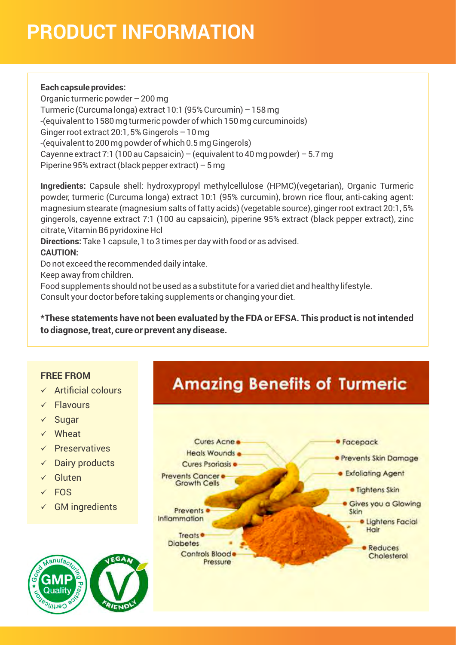## **PRODUCT INFORMATION**

#### **Each capsule provides:**

Organic turmeric powder – 200 mg Turmeric (Curcuma longa) extract 10:1 (95% Curcumin) – 158 mg -(equivalent to 1580 mg turmeric powder of which 150 mg curcuminoids) Ginger root extract 20:1, 5% Gingerols – 10 mg -(equivalent to 200 mg powder of which 0.5 mg Gingerols) Cayenne extract 7:1 (100 au Capsaicin) – (equivalent to 40 mg powder) – 5.7 mg Piperine 95% extract (black pepper extract) – 5 mg

**Ingredients:** Capsule shell: hydroxypropyl methylcellulose (HPMC)(vegetarian), Organic Turmeric powder, turmeric (Curcuma longa) extract 10:1 (95% curcumin), brown rice flour, anti-caking agent: magnesium stearate (magnesium salts of fatty acids) (vegetable source), ginger root extract 20:1, 5% gingerols, cayenne extract 7:1 (100 au capsaicin), piperine 95% extract (black pepper extract), zinc citrate, Vitamin B6 pyridoxine Hcl

**Directions:** Take 1 capsule, 1 to 3 times per day with food or as advised.

#### **CAUTION:**

Do not exceed the recommended daily intake.

Keep away from children.

Food supplements should not be used as a substitute for a varied diet and healthy lifestyle. Consult your doctor before taking supplements or changing your diet.

**\*These statements have not been evaluated by the FDA or EFSA. This product is not intended to diagnose, treat, cure or prevent any disease.**

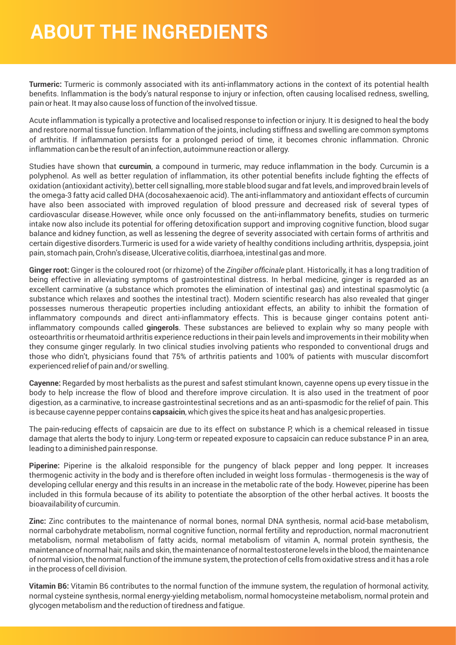### **ABOUT THE INGREDIENTS**

**Turmeric:** Turmeric is commonly associated with its anti-inflammatory actions in the context of its potential health benefits. Inflammation is the body's natural response to injury or infection, often causing localised redness, swelling, pain or heat. It may also cause loss of function of the involved tissue.

Acute inflammation is typically a protective and localised response to infection or injury. It is designed to heal the body and restore normal tissue function. Inflammation of the joints, including stiffness and swelling are common symptoms of arthritis. If inflammation persists for a prolonged period of time, it becomes chronic inflammation. Chronic inflammation can be the result of an infection, autoimmune reaction or allergy.

Studies have shown that **curcumin**, a compound in turmeric, may reduce inflammation in the body. Curcumin is a polyphenol. As well as better regulation of inflammation, its other potential benefits include fighting the effects of oxidation (antioxidant activity), better cell signalling, more stable blood sugar and fat levels, and improved brain levels of the omega-3 fatty acid called DHA (docosahexaenoic acid). The anti-inflammatory and antioxidant effects of curcumin have also been associated with improved regulation of blood pressure and decreased risk of several types of cardiovascular disease.However, while once only focussed on the anti-inflammatory benefits, studies on turmeric intake now also include its potential for offering detoxification support and improving cognitive function, blood sugar balance and kidney function, as well as lessening the degree of severity associated with certain forms of arthritis and certain digestive disorders.Turmeric is used for a wide variety of healthy conditions including arthritis, dyspepsia, joint pain, stomach pain, Crohn's disease, Ulcerative colitis, diarrhoea, intestinal gas and more.

**Ginger root:** Ginger is the coloured root (or rhizome) of the *Zingiber officinale* plant. Historically, it has a long tradition of being effective in alleviating symptoms of gastrointestinal distress. In herbal medicine, ginger is regarded as an excellent carminative (a substance which promotes the elimination of intestinal gas) and intestinal spasmolytic (a substance which relaxes and soothes the intestinal tract). Modern scientific research has also revealed that ginger possesses numerous therapeutic properties including antioxidant effects, an ability to inhibit the formation of inflammatory compounds and direct anti-inflammatory effects. This is because ginger contains potent antiinflammatory compounds called **gingerols**. These substances are believed to explain why so many people with osteoarthritis or rheumatoid arthritis experience reductions in their pain levels and improvements in their mobility when they consume ginger regularly. In two clinical studies involving patients who responded to conventional drugs and those who didn't, physicians found that 75% of arthritis patients and 100% of patients with muscular discomfort experienced relief of pain and/or swelling.

**Cayenne:** Regarded by most herbalists as the purest and safest stimulant known, cayenne opens up every tissue in the body to help increase the flow of blood and therefore improve circulation. It is also used in the treatment of poor digestion, as a carminative, to increase gastrointestinal secretions and as an anti-spasmodic for the relief of pain. This is because cayenne pepper contains **capsaicin**, which gives the spice its heat and has analgesic properties.

The pain-reducing effects of capsaicin are due to its effect on substance P, which is a chemical released in tissue damage that alerts the body to injury. Long-term or repeated exposure to capsaicin can reduce substance P in an area, leading to a diminished pain response.

**Piperine:** Piperine is the alkaloid responsible for the pungency of black pepper and long pepper. It increases thermogenic activity in the body and is therefore often included in weight loss formulas - thermogenesis is the way of developing cellular energy and this results in an increase in the metabolic rate of the body. However, piperine has been included in this formula because of its ability to potentiate the absorption of the other herbal actives. It boosts the bioavailability of curcumin.

**Zinc:** Zinc contributes to the maintenance of normal bones, normal DNA synthesis, normal acid-base metabolism, normal carbohydrate metabolism, normal cognitive function, normal fertility and reproduction, normal macronutrient metabolism, normal metabolism of fatty acids, normal metabolism of vitamin A, normal protein synthesis, the maintenance of normal hair, nails and skin, the maintenance of normal testosterone levels in the blood, the maintenance of normal vision, the normal function of the immune system, the protection of cells from oxidative stress and it has a role in the process of cell division.

**Vitamin B6:** Vitamin B6 contributes to the normal function of the immune system, the regulation of hormonal activity, normal cysteine synthesis, normal energy-yielding metabolism, normal homocysteine metabolism, normal protein and glycogen metabolism and the reduction of tiredness and fatigue.